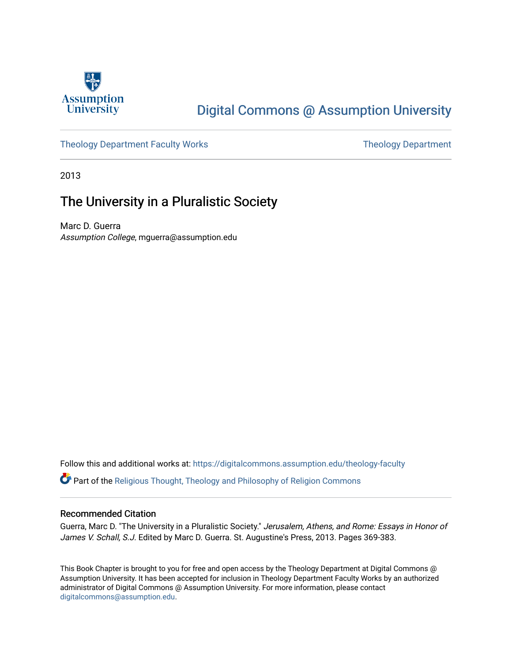

# [Digital Commons @ Assumption University](https://digitalcommons.assumption.edu/)

## [Theology Department Faculty Works](https://digitalcommons.assumption.edu/theology-faculty) Theology Department

2013

## The University in a Pluralistic Society

Marc D. Guerra Assumption College, mguerra@assumption.edu

Follow this and additional works at: [https://digitalcommons.assumption.edu/theology-faculty](https://digitalcommons.assumption.edu/theology-faculty?utm_source=digitalcommons.assumption.edu%2Ftheology-faculty%2F5&utm_medium=PDF&utm_campaign=PDFCoverPages) 

Part of the [Religious Thought, Theology and Philosophy of Religion Commons](http://network.bepress.com/hgg/discipline/544?utm_source=digitalcommons.assumption.edu%2Ftheology-faculty%2F5&utm_medium=PDF&utm_campaign=PDFCoverPages) 

## Recommended Citation

Guerra, Marc D. "The University in a Pluralistic Society." Jerusalem, Athens, and Rome: Essays in Honor of James V. Schall, S.J. Edited by Marc D. Guerra. St. Augustine's Press, 2013. Pages 369-383.

This Book Chapter is brought to you for free and open access by the Theology Department at Digital Commons @ Assumption University. It has been accepted for inclusion in Theology Department Faculty Works by an authorized administrator of Digital Commons @ Assumption University. For more information, please contact [digitalcommons@assumption.edu](mailto:digitalcommons@assumption.edu).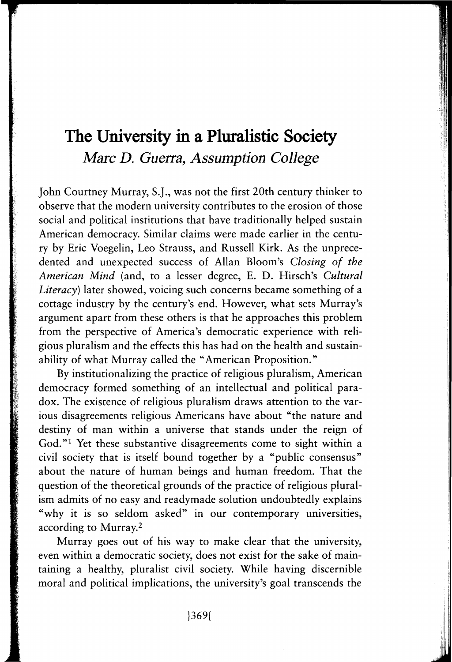## **The University in a Pluralistic Society**  *Marc D. Guerra, Assumption College*

John Courtney Murray, S.J., was not the first 20th century thinker to observe that the modern university contributes to the erosion of those social and political institutions that have traditionally helped sustain American democracy. Similar claims were made earlier in the century by Eric Voegelin, Leo Strauss, and Russell Kirk. As the unprecedented and unexpected success of Allan Bloom's *Closing of the American Mind* (and, to a lesser degree, E. D. Hirsch's *Cultural Literacy)* later showed, voicing such concerns became something of a cottage industry by the century's end. However, what sets Murray's argument apart from these others is that he approaches this problem from the perspective of America's democratic experience with religious pluralism and the effects this has had on the health and sustainability of what Murray called the "American Proposition."

By institutionalizing the practice of religious pluralism, American democracy formed something of an intellectual and political paradox. The existence of religious pluralism draws attention to the various disagreements religious Americans have about "the nature and destiny of man within a universe that stands under the reign of God."<sup>1</sup> Yet these substantive disagreements come to sight within a civil society that is itself bound together by a "public consensus" about the nature of human beings and human freedom. That the question of the theoretical grounds of the practice of religious pluralism admits of no easy and readymade solution undoubtedly explains "why it is so seldom asked" in our contemporary universities, according to Murray.2

Murray goes out of his way to make clear that the university, even within a democratic society, does not exist for the sake of maintaining a healthy, pluralist civil society. While having discernible moral and political implications, the university's goal transcends the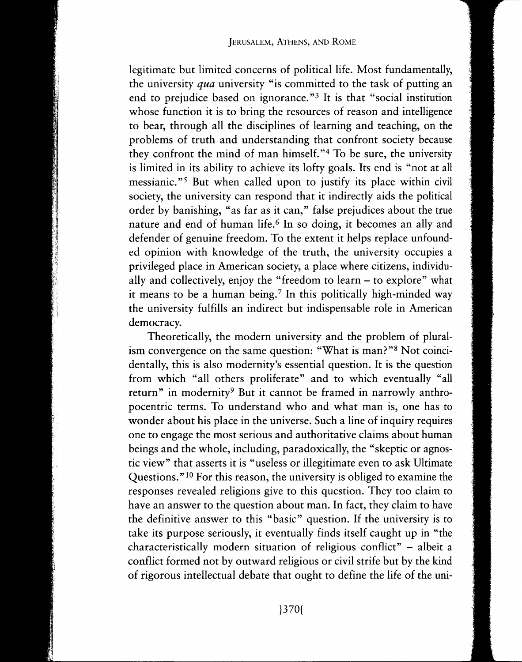legitimate but limited concerns of political life. Most fundamentally, the university *qua* university "is committed to the task of putting an end to prejudice based on ignorance."<sup>3</sup> It is that "social institution whose function it is to bring the resources of reason and intelligence to bear, through all the disciplines of learning and teaching, on the problems of truth and understanding that confront society because they confront the mind of man himself. "4 To be sure, the university is limited in its ability to achieve its lofty goals. Its end is "not at all messianic."<sup>5</sup> But when called upon to justify its place within civil society, the university can respond that it indirectly aids the political order by banishing, "as far as it can," false prejudices about the true nature and end of human life.<sup>6</sup> In so doing, it becomes an ally and defender of genuine freedom. To the extent it helps replace unfounded opinion with knowledge of the truth, the university occupies a privileged place in American society, a place where citizens, individually and collectively, enjoy the "freedom to learn - to explore" what it means to be a human being.7 In this politically high-minded way the university fulfills an indirect but indispensable role in American democracy.

Theoretically, the modern university and the problem of pluralism convergence on the same question: "What is man?"<sup>8</sup> Not coincidentally, this is also modernity's essential question. It is the question from which "all others proliferate" and to which eventually "all return" in modernity<sup>9</sup> But it cannot be framed in narrowly anthropocentric terms. To understand who and what man is, one has to wonder about his place in the universe. Such a line of inquiry requires one to engage the most serious and authoritative claims about human beings and the whole, including, paradoxically, the "skeptic or agnostic view" that asserts it is "useless or illegitimate even to ask Ultimate Questions." 10 For this reason, the university is obliged to examine the responses revealed religions give to this question. They too claim to have an answer to the question about man. In fact, they claim to have the definitive answer to this "basic" question. If the university is to take its purpose seriously, it eventually finds itself caught up in "the characteristically modern situation of religious conflict" - albeit a conflict formed not by outward religious or civil strife but by the kind of rigorous intellectual debate that ought to define the life of the uni-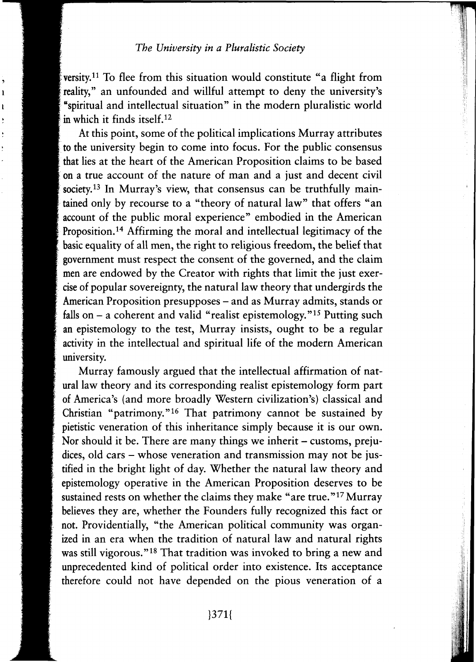reality," To the from this situation would constitute a right from versity.<sup>11</sup> To flee from this situation would constitute "a flight from "spiritual and intellectual situation" in the modern pluralistic world in which it finds itself.<sup>12</sup>

ı

At this point, some of the political implications Murray attributes to the university begin to come into focus. For the public consensus that lies at the heart of the American Proposition claims to be based , on a true account of the nature of man and a just and decent civil society.<sup>13</sup> In Murray's view, that consensus can be truthfully maintained only by recourse to a "theory of natural law" that offers "an . account of the public moral experience" embodied in the American Proposition.<sup>14</sup> Affirming the moral and intellectual legitimacy of the basic equality of all men, the right to religious freedom, the belief that government must respect the consent of the governed, and the claim men are endowed by the Creator with rights that limit the just exer- . cise of popular sovereignty, the natural law theory that undergirds the American Proposition presupposes – and as Murray admits, stands or falls on  $-$  a coherent and valid "realist epistemology."<sup>15</sup> Putting such an epistemology to the test, Murray insists, ought to be a regular activity in the intellectual and spiritual life of the modern American university.

Murray famously argued that the intellectual affirmation of natural law theory and its corresponding realist epistemology form part of America's (and more broadly Western civilization's) classical and Christian "patrimony."<sup>16</sup> That patrimony cannot be sustained by pietistic veneration of this inheritance simply because it is our own. Nor should it be. There are many things we inherit - customs, prejudices, old cars - whose veneration and transmission may not be justified in the bright light of day. Whether the natural law theory and epistemology operative in the American Proposition deserves to be sustained rests on whether the claims they make "are true."<sup>17</sup> Murray believes they are, whether the Founders fully recognized this fact or not. Providentially, "the American political community was organized in an era when the tradition of natural law and natural rights was still vigorous."<sup>18</sup> That tradition was invoked to bring a new and unprecedented kind of political order into existence. Its acceptance therefore could not have depended on the pious veneration of a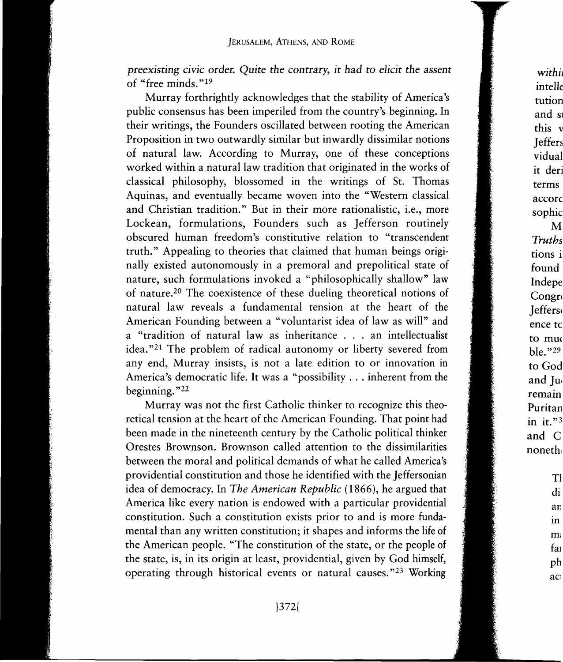*preexisting civic* order. *Quite* the *contrary, it had* to *elicit* the *assent*  of "free minds. " <sup>19</sup>

Murray forthrightly acknowledges that the stability of America's public consensus has been imperiled from the country's beginning. In their writings, the Founders oscillated between rooting the American Proposition in two outwardly similar but inwardly dissimilar notions of natural law. According to Murray, one of these conceptions worked within a natural law tradition that originated in the works of classical philosophy, blossomed in the writings of St. Thomas Aquinas, and eventually became woven into the "Western classical and Christian tradition." But in their more rationalistic, i.e., more Lockean, formulations, Founders such as Jefferson routinely obscured human freedom's constitutive relation to "transcendent truth." Appealing to theories that claimed that human beings originally existed autonomously in a premoral and prepolitical state of nature, such formulations invoked a "philosophically shallow" law of nature.20 The coexistence of these dueling theoretical notions of natural law reveals a fundamental tension at the heart of the American Founding between a "voluntarist idea of law as will" and a "tradition of natural law as inheritance . . . an intellectualist idea."<sup>21</sup> The problem of radical autonomy or liberty severed from any end, Murray insists, is not a late edition to or innovation in America's democratic life. It was a "possibility ... inherent from the beginning." <sup>22</sup>

Murray was not the first Catholic thinker to recognize this theoretical tension at the heart of the American Founding. That point had been made in the nineteenth century by the Catholic political thinker Orestes Brownson. Brownson called attention to the dissimilarities between the moral and political demands of what he called America's providential constitution and those he identified with the Jeffersonian idea of democracy. In *The American Republic* (1866), he argued that America like every nation is endowed with a particular providential constitution. Such a constitution exists prior to and is more fundamental than any written constitution; it shapes and informs the life of the American people. "The constitution of the state, or the people of the state, is, in its origin at least, providential, given by God himself, operating through historical events or natural causes."<sup>23</sup> Working

 $with i$ intell tution and s this v **Jeffers** vidual it der terms accord sophic M *Truths*  tions i found Indepe Congr Jeffers4 ence tc to mu ble. " <sup>29</sup> to God and Ju remain Puritar in it."<sup>3</sup> and C noneth

> Tl di an m m: fai ph ac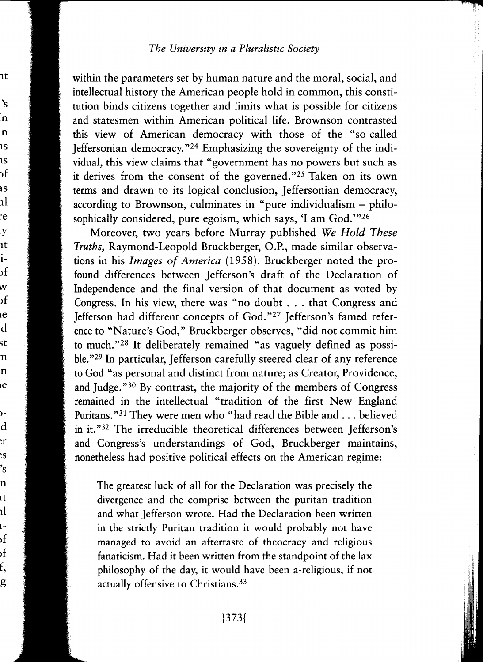1t

's \_n .n lS lS )f lS al ~e y lt 1- )f

 $e$ d st n n le

W эf

) d ~r ~s 's n ١t tl L- >f >f f, g

within the parameters set by human nature and the moral, social, and intellectual history the American people hold in common, this constitution binds citizens together and limits what is possible for citizens and statesmen within American political life. Brownson contrasted this view of American democracy with those of the "so-called Jeffersonian democracy. "24 Emphasizing the sovereignty of the individual, this view claims that "government has no powers but such as it derives from the consent of the governed."25 Taken on its own terms and drawn to its logical conclusion, Jeffersonian democracy, according to Brownson, culminates in "pure individualism - philosophically considered, pure egoism, which says, 'I am God.'"<sup>26</sup>

Moreover, two years before Murray published *We Hold These Truths,* Raymond-Leopold Bruckberger, O.P., made similar observations in his *Images of America* (1958). Bruckberger noted the profound differences between Jefferson's draft of the Declaration of Independence and the final version of that document as voted by Congress. In his view, there was "no doubt ... that Congress and Jefferson had different concepts of God. "27 Jefferson's famed reference to "Nature's God," Bruckberger observes, "did not commit him to much."28 It deliberately remained "as vaguely defined as possible."<sup>29</sup> In particular, Jefferson carefully steered clear of any reference to God "as personal and distinct from nature; as Creator, Providence, and Judge."30 By contrast, the majority of the members of Congress remained in the intellectual "tradition of the first New England Puritans."31 They were men who "had read the Bible and ... believed in it."<sup>32</sup> The irreducible theoretical differences between Jefferson's and Congress's understandings of God, Bruckberger maintains, nonetheless had positive political effects on the American regime:

The greatest luck of all for the Declaration was precisely the divergence and the comprise between the puritan tradition and what Jefferson wrote. Had the Declaration been written in the strictly Puritan tradition it would probably not have managed to avoid an aftertaste of theocracy and religious fanaticism. Had it been written from the standpoint of the lax philosophy of the day, it would have been a-religious, if not actually offensive to Christians. 33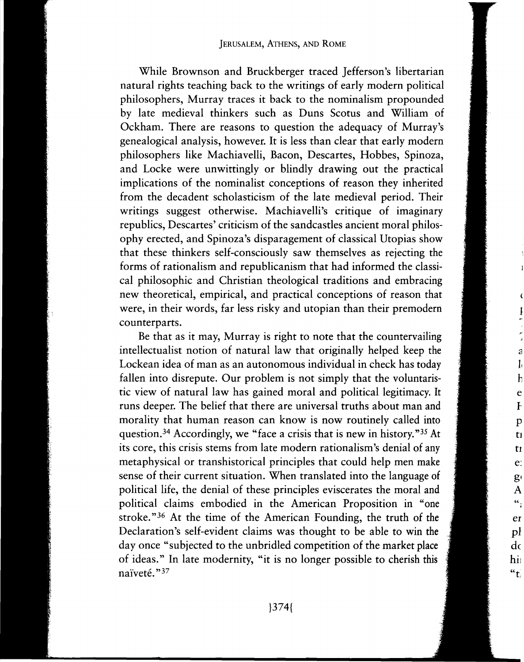While Brownson and Bruckberger traced Jefferson's libertarian natural rights teaching back to the writings of early modern political philosophers, Murray traces it back to the nominalism propounded by late medieval thinkers such as Duns Scotus and William of Ockham. There are reasons to question the adequacy of Murray's genealogical analysis, however. It is less than clear that early modern philosophers like Machiavelli, Bacon, Descartes, Hobbes, Spinoza, and Locke were unwittingly or blindly drawing out the practical implications of the nominalist conceptions of reason they inherited from the decadent scholasticism of the late medieval period. Their writings suggest otherwise. Machiavelli's critique of imaginary republics, Descartes' criticism of the sandcastles ancient moral philosophy erected, and Spinoza's disparagement of classical Utopias show that these thinkers self-consciously saw themselves as rejecting the forms of rationalism and republicanism that had informed the classical philosophic and Christian theological traditions and embracing new theoretical, empirical, and practical conceptions of reason that were, in their words, far less risky and utopian than their premodern counterparts.

Be that as it may, Murray is right to note that the countervailing intellectualist notion of natural law that originally helped keep the Lockean idea of man as an autonomous individual in check has today fallen into disrepute. Our problem is not simply that the voluntaristic view of natural law has gained moral and political legitimacy. It runs deeper. The belief that there are universal truths about man and morality that human reason can know is now routinely called into question. 34 Accordingly, we "face a crisis that is new in history. "35 At its core, this crisis stems from late modern rationalism's denial of any metaphysical or transhistorical principles that could help men make sense of their current situation. When translated into the language of political life, the denial of these principles eviscerates the moral and political claims embodied in the American Proposition in "one stroke." 36 At the time of the American Founding, the truth of the Declaration's self-evident claims was thought to be able to win the day once "subjected to the unbridled competition of the market place of ideas." In late modernity, "it is no longer possible to cherish this naïveté."<sup>37</sup>

e Ip ti tl e: g<sup>(</sup> A

â

er pl do hii  $"t"$ 

 $\alpha$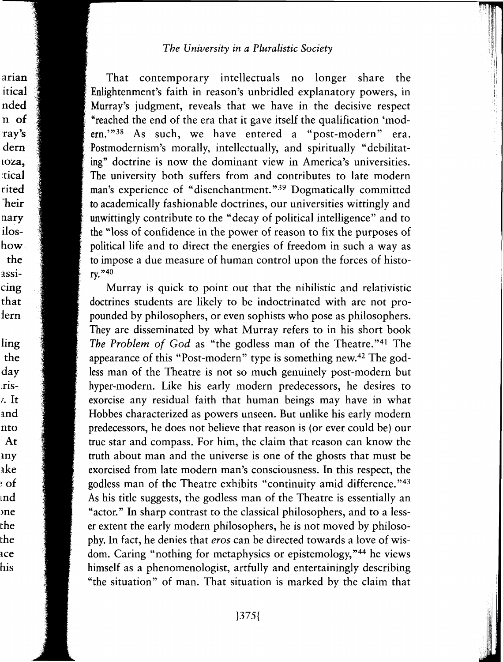arian

itical nded

n of

ray's dern

ioza. :tical

rited **heir** 

nary

iloshow

the

assicing

that lern

ling the

day

ris-7. It

and

nto

At

any

ake

 $:$  of

ınd

ne :he

:he

ice his

That contemporary intellectuals no longer share the Enlightenment's faith in reason's unbridled explanatory powers, in Murray's judgment, reveals that we have in the decisive respect "reached the end of the era that it gave itself the qualification 'modern."<sup>38</sup> As such, we have entered a "post-modern" era. Postmodernism's morally, intellectually, and spiritually "debilitating" doctrine is now the dominant view in America's universities. The university both suffers from and contributes to late modern man's experience of "disenchantment."<sup>39</sup> Dogmatically committed to academically fashionable doctrines, our universities wittingly and unwittingly contribute to the "decay of political intelligence" and to the "loss of confidence in the power of reason to fix the purposes of political life and to direct the energies of freedom in such a way as to impose a due measure of human control upon the forces of history."40

Murray is quick to point out that the nihilistic and relativistic doctrines students are likely to be indoctrinated with are not propounded by philosophers, or even sophists who pose as philosophers. They are disseminated by what Murray refers to in his short book The Problem of God as "the godless man of the Theatre."<sup>41</sup> The appearance of this "Post-modern" type is something new.<sup>42</sup> The godless man of the Theatre is not so much genuinely post-modern but hyper-modern. Like his early modern predecessors, he desires to exorcise any residual faith that human beings may have in what Hobbes characterized as powers unseen. But unlike his early modern predecessors, he does not believe that reason is (or ever could be) our true star and compass. For him, the claim that reason can know the truth about man and the universe is one of the ghosts that must be exorcised from late modern man's consciousness. In this respect, the godless man of the Theatre exhibits "continuity amid difference."43 As his title suggests, the godless man of the Theatre is essentially an "actor." In sharp contrast to the classical philosophers, and to a lesser extent the early modern philosophers, he is not moved by philosophy. In fact, he denies that eros can be directed towards a love of wisdom. Caring "nothing for metaphysics or epistemology,"<sup>44</sup> he views himself as a phenomenologist, artfully and entertainingly describing "the situation" of man. That situation is marked by the claim that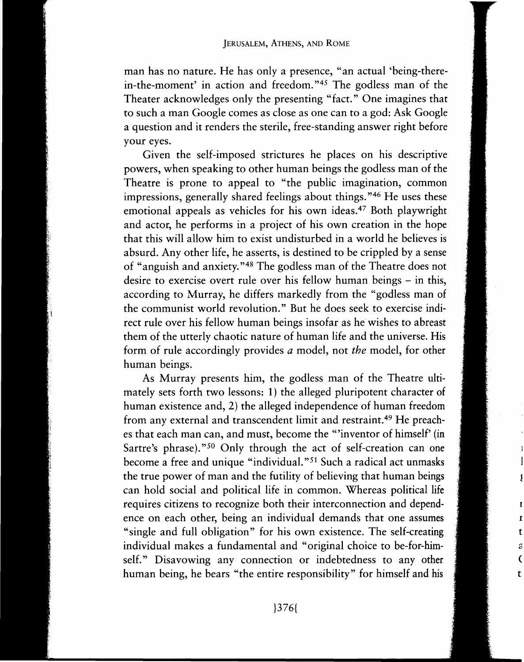man has no nature. He has only a presence, "an actual 'being-therein-the-moment' in action and freedom. "45 The godless man of the Theater acknowledges only the presenting "fact." One imagines that to such a man Google comes as close as one can to a god: Ask Google a question and it renders the sterile, free-standing answer right before your eyes.

Given the self-imposed strictures he places on his descriptive powers, when speaking to other human beings the godless man of the Theatre is prone to appeal to "the public imagination, common impressions, generally shared feelings about things. "46 He uses these emotional appeals as vehicles for his own ideas.47 Both playwright and actor, he performs in a project of his own creation in the hope that this will allow him to exist undisturbed in a world he believes is absurd. Any other life, he asserts, is destined to be crippled by a sense of "anguish and anxiety. "48 The godless man of the Theatre does not desire to exercise overt rule over his fellow human beings – in this, according to Murray, he differs markedly from the "godless man of the communist world revolution." But he does seek to exercise indirect rule over his fellow human beings insofar as he wishes to abreast them of the utterly chaotic nature of human life and the universe. His form of rule accordingly provides *a* model, not *the* model, for other human beings.

As Murray presents him, the godless man of the Theatre ultimately sets forth two lessons: 1) the alleged pluripotent character of human existence and, 2) the alleged independence of human freedom from any external and transcendent limit and restraint. 49 He preaches that each man can, and must, become the "inventor of himself' (in Sartre's phrase)."<sup>50</sup> Only through the act of self-creation can one become a free and unique "individual." 51 Such a radical act unmasks the true power of man and the futility of believing that human beings can hold social and political life in common. Whereas political life requires citizens to recognize both their interconnection and dependence on each other, being an individual demands that one assumes "single and full obligation" for his own existence. The self-creating individual makes a fundamental and "original choice to be-for-himself." Disavowing any connection or indebtedness to any other human being, he bears "the entire responsibility" for himself and his

t a ( t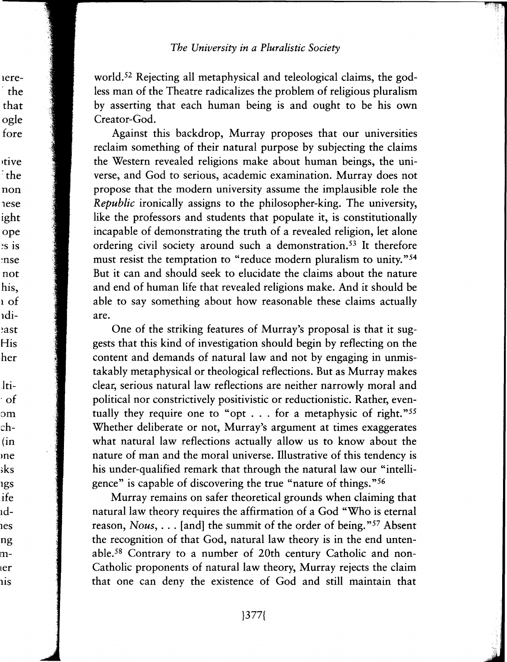world.<sup>52</sup> Rejecting all metaphysical and teleological claims, the godless man of the Theatre radicalizes the problem of religious pluralism by asserting that each human being is and ought to be his own Creator-God.

Against this backdrop, Murray proposes that our universities reclaim something of their natural purpose by subjecting the claims the Western revealed religions make about human beings, the universe, and God to serious, academic examination. Murray does not propose that the modern university assume the implausible role the Republic ironically assigns to the philosopher-king. The university, like the professors and students that populate it, is constitutionally incapable of demonstrating the truth of a revealed religion, let alone ordering civil society around such a demonstration.<sup>53</sup> It therefore must resist the temptation to "reduce modern pluralism to unity."<sup>54</sup> But it can and should seek to elucidate the claims about the nature and end of human life that revealed religions make. And it should be able to say something about how reasonable these claims actually are.

One of the striking features of Murray's proposal is that it suggests that this kind of investigation should begin by reflecting on the content and demands of natural law and not by engaging in unmistakably metaphysical or theological reflections. But as Murray makes clear, serious natural law reflections are neither narrowly moral and political nor constrictively positivistic or reductionistic. Rather, eventually they require one to "opt . . . for a metaphysic of right."<sup>55</sup> Whether deliberate or not, Murray's argument at times exaggerates what natural law reflections actually allow us to know about the nature of man and the moral universe. Illustrative of this tendency is his under-qualified remark that through the natural law our "intelligence" is capable of discovering the true "nature of things."56

Murray remains on safer theoretical grounds when claiming that natural law theory requires the affirmation of a God "Who is eternal reason, Nous, . . . [and] the summit of the order of being."<sup>57</sup> Absent the recognition of that God, natural law theory is in the end untenable.<sup>58</sup> Contrary to a number of 20th century Catholic and non-Catholic proponents of natural law theory, Murray rejects the claim that one can deny the existence of God and still maintain that

ere--the that ogle fore

tive the: non **nese** ight ope  $\frac{1}{2}$ s is nse: not his. ı of ıdiast: His her lti-

 $\cdot$  of om ch- $(in$ ne sks igs ife ıdies ng ner ıis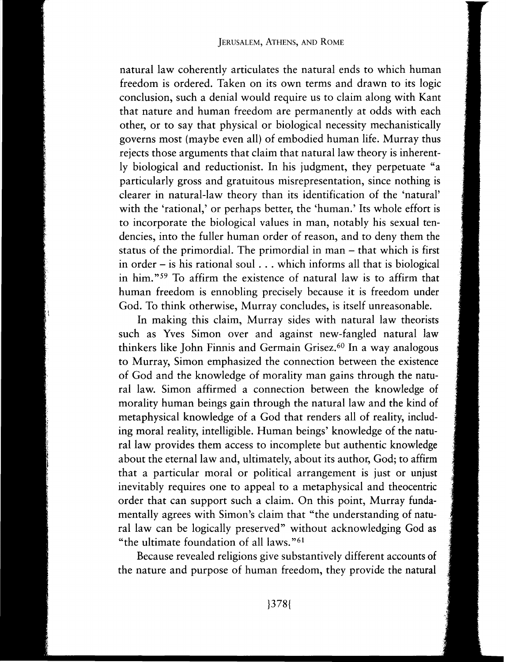natural law coherently articulates the natural ends to which human freedom is ordered. Taken on its own terms and drawn to its logic conclusion, such a denial would require us to claim along with Kant that nature and human freedom are permanently at odds with each other, or to say that physical or biological necessity mechanistically governs most (maybe even all) of embodied human life. Murray thus rejects those arguments that claim that natural law theory is inherently biological and reductionist. In his judgment, they perpetuate "a particularly gross and gratuitous misrepresentation, since nothing is clearer in natural-law theory than its identification of the 'natural' with the 'rational,' or perhaps better, the 'human.' Its whole effort is to incorporate the biological values in man, notably his sexual tendencies, into the fuller human order of reason, and to deny them the status of the primordial. The primordial in man – that which is first in order  $-$  is his rational soul  $\ldots$  which informs all that is biological in him."<sup>59</sup> To affirm the existence of natural law is to affirm that human freedom is ennobling precisely because it is freedom under God. To think otherwise, Murray concludes, is itself unreasonable.

In making this claim, Murray sides with natural law theorists such as Yves Simon over and against new-fangled natural law thinkers like John Finnis and Germain Grisez. 60 In a way analogous to Murray, Simon emphasized the connection between the existence of God and the knowledge of morality man gains through the natural law. Simon affirmed a connection between the knowledge of morality human beings gain through the natural law and the kind of metaphysical knowledge of a God that renders all of reality, including moral reality, intelligible. Human beings' knowledge of the natural law provides them access to incomplete but authentic knowledge about the eternal law and, ultimately, about its author, God; to affirm that a particular moral or political arrangement is just or unjust inevitably requires one to appeal to a metaphysical and theocentric order that can support such a claim. On this point, Murray fundamentally agrees with Simon's claim that "the understanding of natural law can be logically preserved" without acknowledging God as "the ultimate foundation of all laws. "61

Because revealed religions give substantively different accounts of the nature and purpose of human freedom, they provide the natural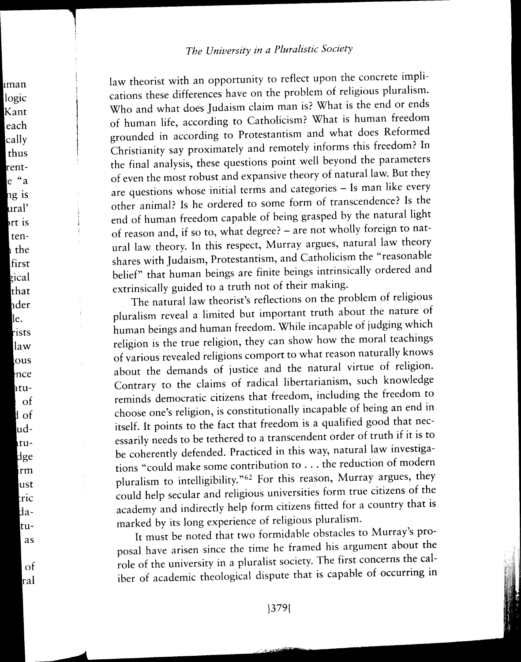man logic Kant each cally thus

> $ng$  is ural' rt is tenh the first

zical that hder le. rists law lous hnce htu-⊹ of ll of ludtudge irm lust tric datuas

> of ral

rente "a law theorist with an opportunity to reflect upon the concrete implications these differences have on the problem of religious pluralism. Who and what does Judaism claim man is? What is the end or ends of human life, according to Catholicism? What is human freedom grounded in according to Protestantism and what does Reformed Christianity say proximately and remotely informs this freedom? In the final analysis, these questions point well beyond the parameters of even the most robust and expansive theory of natural law. But they are questions whose initial terms and categories - Is man like every other animal? Is he ordered to some form of transcendence? Is the end of human freedom capable of being grasped by the natural light of reason and, if so to, what degree? - are not wholly foreign to natural law theory. In this respect, Murray argues, natural law theory shares with Judaism, Protestantism, and Catholicism the "reasonable belief" that human beings are finite beings intrinsically ordered and extrinsically guided to a truth not of their making.

The natural law theorist's reflections on the problem of religious pluralism reveal a limited but important truth about the nature of human beings and human freedom. While incapable of judging which religion is the true religion, they can show how the moral teachings of various revealed religions comport to what reason naturally knows about the demands of justice and the natural virtue of religion. Contrary to the claims of radical libertarianism, such knowledge reminds democratic citizens that freedom, including the freedom to choose one's religion, is constitutionally incapable of being an end in itself. It points to the fact that freedom is a qualified good that necessarily needs to be tethered to a transcendent order of truth if it is to be coherently defended. Practiced in this way, natural law investigations "could make some contribution to ... the reduction of modern pluralism to intelligibility."<sup>62</sup> For this reason, Murray argues, they could help secular and religious universities form true citizens of the academy and indirectly help form citizens fitted for a country that is marked by its long experience of religious pluralism.

It must be noted that two formidable obstacles to Murray's proposal have arisen since the time he framed his argument about the role of the university in a pluralist society. The first concerns the caliber of academic theological dispute that is capable of occurring in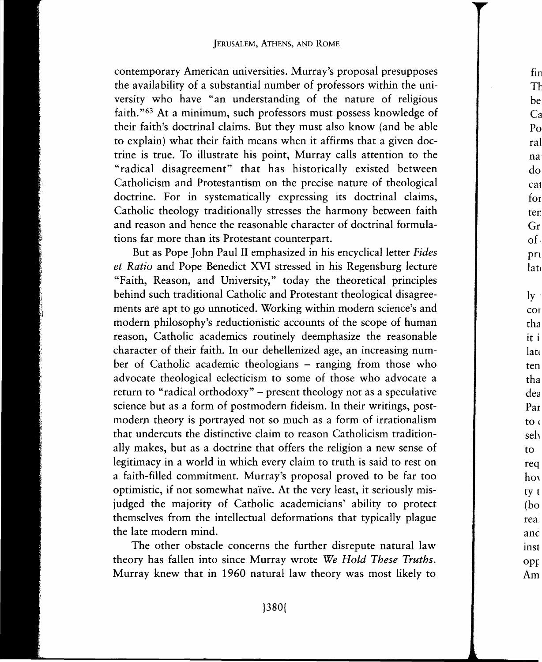contemporary American universities. Murray's proposal presupposes the availability of a substantial number of professors within the university who have "an understanding of the nature of religious faith. "63 At a minimum, such professors must possess knowledge of their faith's doctrinal claims. But they must also know (and be able to explain) what their faith means when it affirms that a given doctrine is true. To illustrate his point, Murray calls attention to the "radical disagreement" that has historically existed between Catholicism and Protestantism on the precise nature of theological doctrine. For in systematically expressing its doctrinal claims, Catholic theology traditionally stresses the harmony between faith and reason and hence the reasonable character of doctrinal formulations far more than its Protestant counterpart.

But as Pope John Paul II emphasized in his encyclical letter *Fides et Ratio* and Pope Benedict XVI stressed in his Regensburg lecture "Faith, Reason, and University," today the theoretical principles behind such traditional Catholic and Protestant theological disagreements are apt to go unnoticed. Working within modern science's and modern philosophy's reductionistic accounts of the scope of human reason, Catholic academics routinely deemphasize the reasonable character of their faith. In our dehellenized age, an increasing number of Catholic academic theologians – ranging from those who advocate theological eclecticism to some of those who advocate a return to "radical orthodoxy" - present theology not as a speculative science but as a form of postmodern fideism. In their writings, postmodern theory is portrayed not so much as a form of irrationalism that undercuts the distinctive claim to reason Catholicism traditionally makes, but as a doctrine that offers the religion a new sense of legitimacy in a world in which every claim to truth is said to rest on a faith-filled commitment. Murray's proposal proved to be far too optimistic, if not somewhat naive. At the very least, it seriously misjudged the majority of Catholic academicians' ability to protect themselves from the intellectual deformations that typically plague the late modern mind.

The other obstacle concerns the further disrepute natural law theory has fallen into since Murray wrote *We Hold These Truths.*  Murray knew that in 1960 natural law theory was most likely to

fin T<sub>1</sub> be  $C_i$ Pc ral na do ca for ten Gr  $\delta$ pri lat ly CO<sub>1</sub> tha it i lat< ten tha dea Par to d seh to req hov ty t (bo rea anc inst Opf Am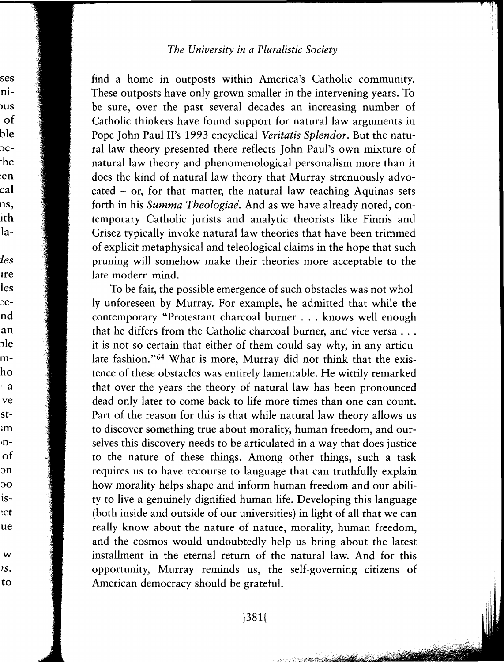ses

ni**us** 

of

 $ble$ 

 $_{\rm 0c-}$ 

:he

en

cal

ns,

ith

la-

les

ıre

les

eend

an

ole

mho

a:

ve

st-

 $\mathbf{m}$ 'n-

of

on

 $\overline{O}O$ 

isect:

ue

l W 1s.

to

find a home in outposts within America's Catholic community. These outposts have only grown smaller in the intervening years. To be sure, over the past several decades an increasing number of Catholic thinkers have found support for natural law arguments in Pope John Paul II's 1993 encyclical Veritatis Splendor. But the natural law theory presented there reflects John Paul's own mixture of natural law theory and phenomenological personalism more than it does the kind of natural law theory that Murray strenuously advocated - or, for that matter, the natural law teaching Aquinas sets forth in his Summa Theologiae. And as we have already noted, contemporary Catholic jurists and analytic theorists like Finnis and Grisez typically invoke natural law theories that have been trimmed of explicit metaphysical and teleological claims in the hope that such pruning will somehow make their theories more acceptable to the late modern mind.

To be fair, the possible emergence of such obstacles was not wholly unforeseen by Murray. For example, he admitted that while the contemporary "Protestant charcoal burner . . . knows well enough that he differs from the Catholic charcoal burner, and vice versa . . . it is not so certain that either of them could say why, in any articulate fashion."<sup>64</sup> What is more, Murray did not think that the existence of these obstacles was entirely lamentable. He wittily remarked that over the years the theory of natural law has been pronounced dead only later to come back to life more times than one can count. Part of the reason for this is that while natural law theory allows us to discover something true about morality, human freedom, and ourselves this discovery needs to be articulated in a way that does justice to the nature of these things. Among other things, such a task requires us to have recourse to language that can truthfully explain how morality helps shape and inform human freedom and our ability to live a genuinely dignified human life. Developing this language (both inside and outside of our universities) in light of all that we can really know about the nature of nature, morality, human freedom, and the cosmos would undoubtedly help us bring about the latest installment in the eternal return of the natural law. And for this opportunity, Murray reminds us, the self-governing citizens of American democracy should be grateful.

and the state of the state of the state of the state of the state of the state of the state of the state of the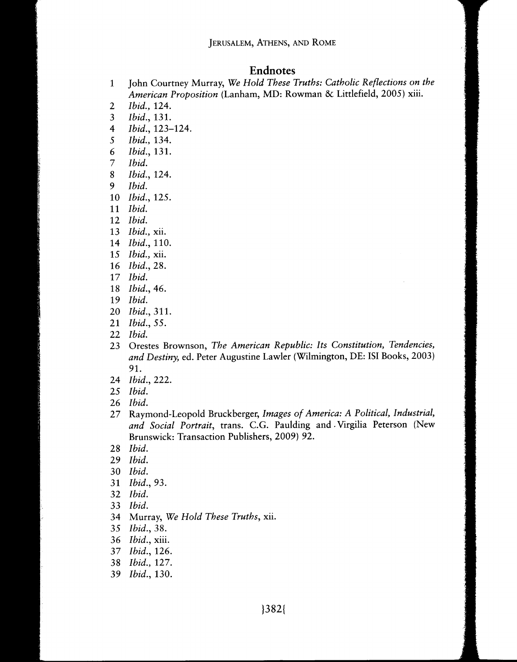## **Endnotes**

- 1 John Courtney Murray, *We Hold These Truths: Catholic Reflections on the American Proposition* (Lanham, MD: Rowman & Littlefield, 2005) xiii.
- *Ibid.,* 124.
- *Ibid.,* 131.
- *Ibid.,* 123-124.
- *Ibid.,* 134.
- *Ibid.,* 131.
- *Ibid.*
- *Ibid.,* 124.
- *Ibid.*
- *Ibid.,* 125.
- *Ibid.*
- *Ibid.*
- *Ibid.,* xii.
- *Ibid.,* 110.
- *Ibid.,* xii.
- *Ibid.,* 28.
- *Ibid.*
- *Ibid.,* 46.
- *Ibid.*
- *Ibid.,* 311.
- *Ibid.,* 55.
- *Ibid.*
- 23 Orestes Brownson, *The American Republic: Its Constitution, Tendencies, and Destiny,* ed. Peter Augustine Lawler (Wilmington, DE: ISi Books, 2003) 91.
- *Ibid.,* 222.
- *Ibid.*
- *Ibid.*
- 27 Raymond-Leopold Bruckberger, *Images of America: A Political, Industrial, and Social Portrait,* trans. C.G. Paulding and. Virgilia Peterson (New Brunswick: Transaction Publishers, 2009) 92.
- *Ibid.*
- *Ibid.*
- *Ibid.*
- *Ibid.,* 93.
- *Ibid.*
- *Ibid.*
- 34 Murray, *We Hold These Truths,* xii.
- *Ibid.,* 38.
- *Ibid.,* xiii.
- *Ibid.,* 126.
- *Ibid.,* 127.
- *Ibid.,* 130.